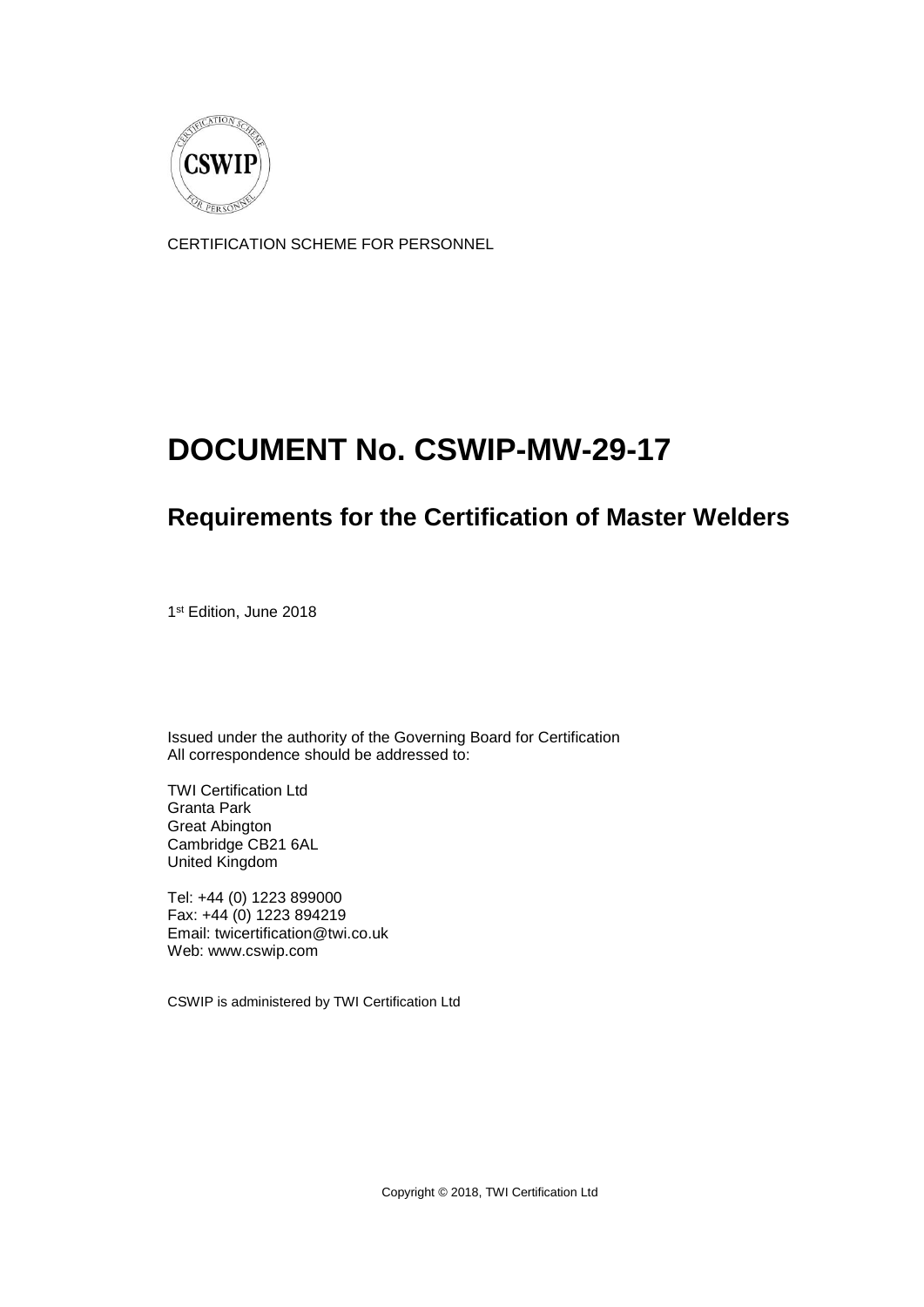

CERTIFICATION SCHEME FOR PERSONNEL

# **DOCUMENT No. CSWIP-MW-29-17**

## **Requirements for the Certification of Master Welders**

1 st Edition, June 2018

Issued under the authority of the Governing Board for Certification All correspondence should be addressed to:

TWI Certification Ltd Granta Park Great Abington Cambridge CB21 6AL United Kingdom

Tel: +44 (0) 1223 899000 Fax: +44 (0) 1223 894219 Email: twicertification@twi.co.uk Web: www.cswip.com

CSWIP is administered by TWI Certification Ltd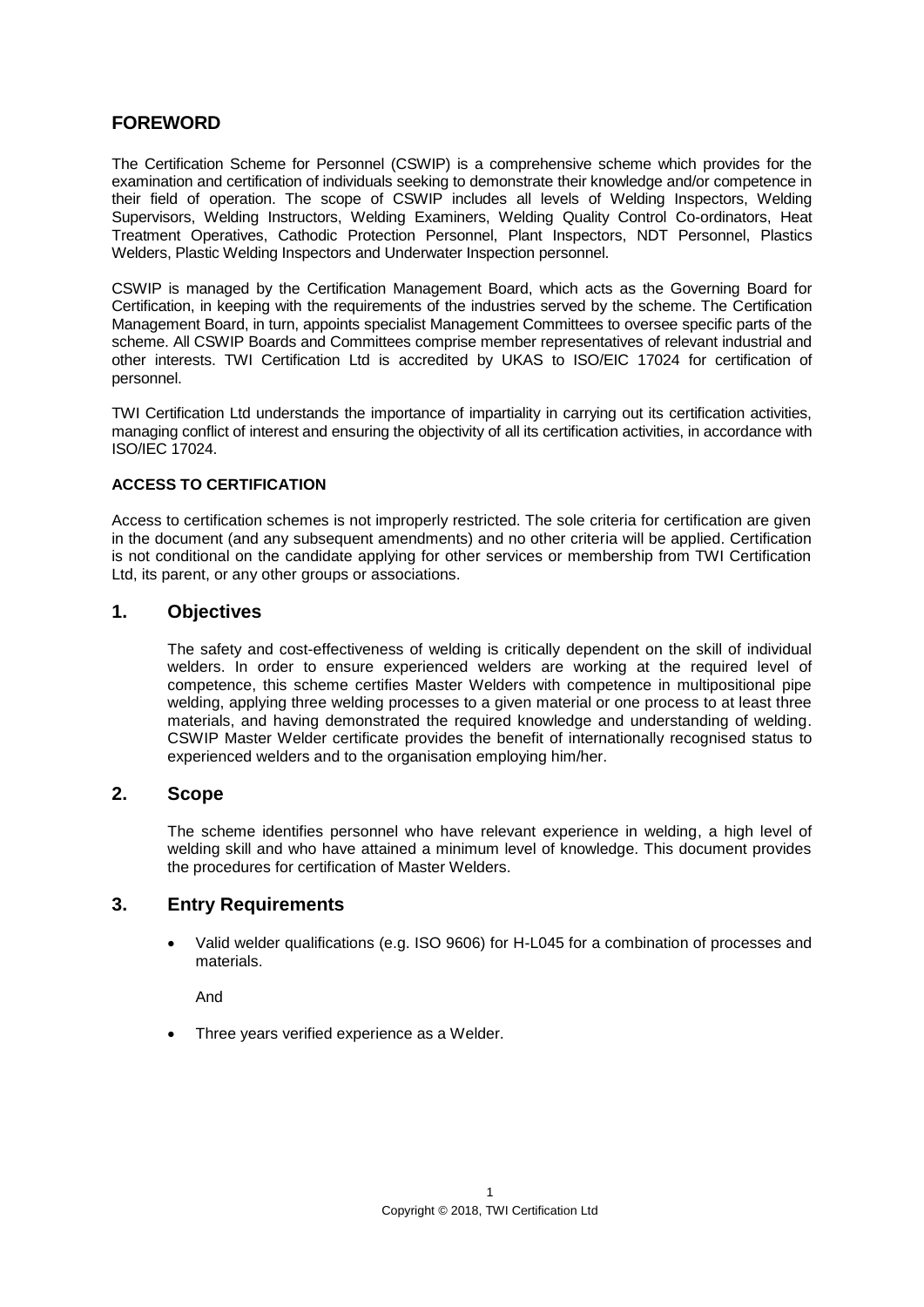## **FOREWORD**

The Certification Scheme for Personnel (CSWIP) is a comprehensive scheme which provides for the examination and certification of individuals seeking to demonstrate their knowledge and/or competence in their field of operation. The scope of CSWIP includes all levels of Welding Inspectors, Welding Supervisors, Welding Instructors, Welding Examiners, Welding Quality Control Co-ordinators, Heat Treatment Operatives, Cathodic Protection Personnel, Plant Inspectors, NDT Personnel, Plastics Welders, Plastic Welding Inspectors and Underwater Inspection personnel.

CSWIP is managed by the Certification Management Board, which acts as the Governing Board for Certification, in keeping with the requirements of the industries served by the scheme. The Certification Management Board, in turn, appoints specialist Management Committees to oversee specific parts of the scheme. All CSWIP Boards and Committees comprise member representatives of relevant industrial and other interests. TWI Certification Ltd is accredited by UKAS to ISO/EIC 17024 for certification of personnel.

TWI Certification Ltd understands the importance of impartiality in carrying out its certification activities, managing conflict of interest and ensuring the objectivity of all its certification activities, in accordance with ISO/IEC 17024.

## **ACCESS TO CERTIFICATION**

Access to certification schemes is not improperly restricted. The sole criteria for certification are given in the document (and any subsequent amendments) and no other criteria will be applied. Certification is not conditional on the candidate applying for other services or membership from TWI Certification Ltd, its parent, or any other groups or associations.

## **1. Objectives**

The safety and cost-effectiveness of welding is critically dependent on the skill of individual welders. In order to ensure experienced welders are working at the required level of competence, this scheme certifies Master Welders with competence in multipositional pipe welding, applying three welding processes to a given material or one process to at least three materials, and having demonstrated the required knowledge and understanding of welding. CSWIP Master Welder certificate provides the benefit of internationally recognised status to experienced welders and to the organisation employing him/her.

## **2. Scope**

The scheme identifies personnel who have relevant experience in welding, a high level of welding skill and who have attained a minimum level of knowledge. This document provides the procedures for certification of Master Welders.

## **3. Entry Requirements**

 Valid welder qualifications (e.g. ISO 9606) for H-L045 for a combination of processes and materials.

And

Three years verified experience as a Welder.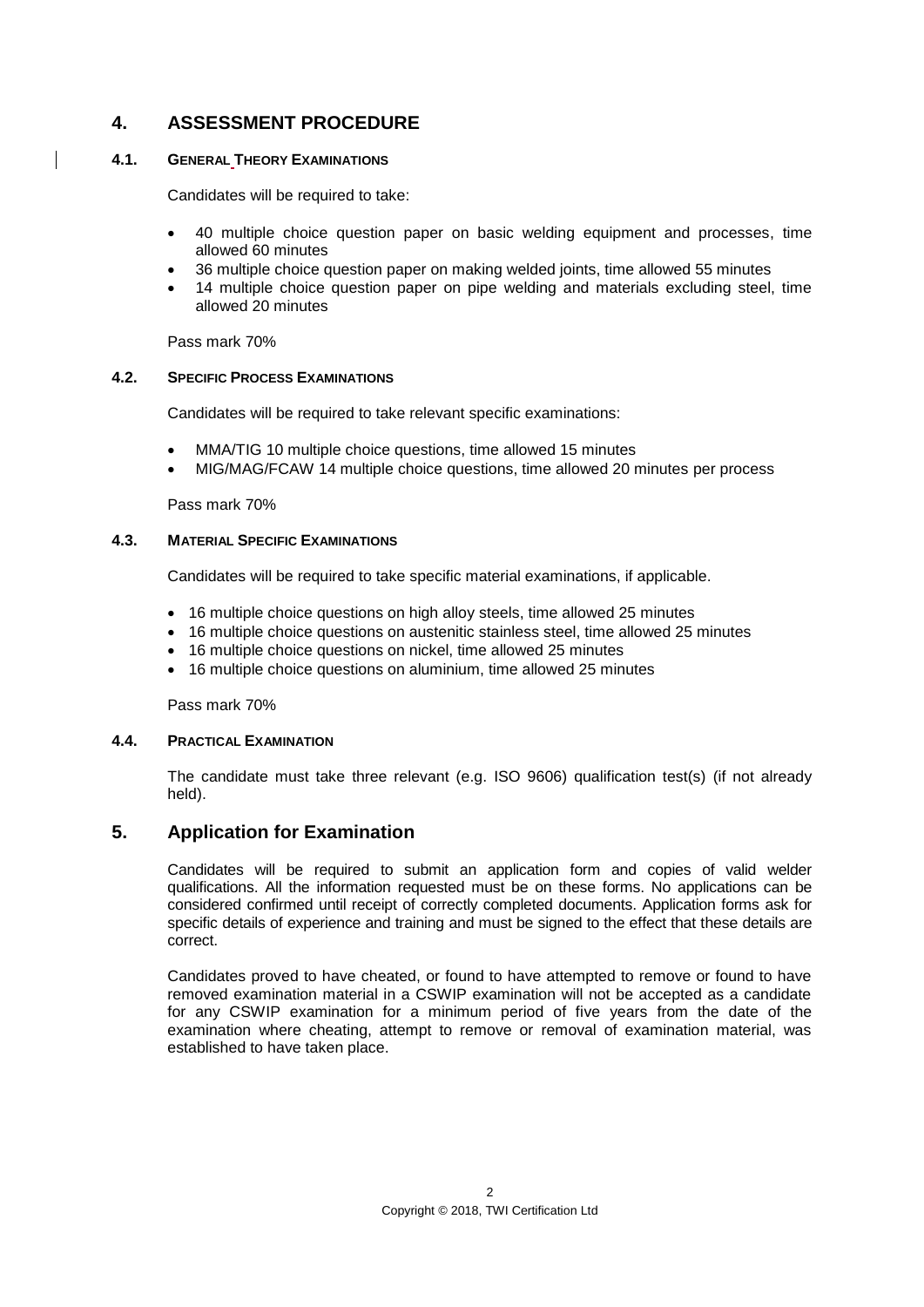## **4. ASSESSMENT PROCEDURE**

#### **4.1. GENERAL THEORY EXAMINATIONS**

Candidates will be required to take:

- 40 multiple choice question paper on basic welding equipment and processes, time allowed 60 minutes
- 36 multiple choice question paper on making welded joints, time allowed 55 minutes
- 14 multiple choice question paper on pipe welding and materials excluding steel, time allowed 20 minutes

Pass mark 70%

## **4.2. SPECIFIC PROCESS EXAMINATIONS**

Candidates will be required to take relevant specific examinations:

- MMA/TIG 10 multiple choice questions, time allowed 15 minutes
- MIG/MAG/FCAW 14 multiple choice questions, time allowed 20 minutes per process

Pass mark 70%

## **4.3. MATERIAL SPECIFIC EXAMINATIONS**

Candidates will be required to take specific material examinations, if applicable.

- 16 multiple choice questions on high alloy steels, time allowed 25 minutes
- 16 multiple choice questions on austenitic stainless steel, time allowed 25 minutes
- 16 multiple choice questions on nickel, time allowed 25 minutes
- 16 multiple choice questions on aluminium, time allowed 25 minutes

Pass mark 70%

#### **4.4. PRACTICAL EXAMINATION**

The candidate must take three relevant (e.g. ISO 9606) qualification test(s) (if not already held).

## **5. Application for Examination**

Candidates will be required to submit an application form and copies of valid welder qualifications. All the information requested must be on these forms. No applications can be considered confirmed until receipt of correctly completed documents. Application forms ask for specific details of experience and training and must be signed to the effect that these details are correct.

Candidates proved to have cheated, or found to have attempted to remove or found to have removed examination material in a CSWIP examination will not be accepted as a candidate for any CSWIP examination for a minimum period of five years from the date of the examination where cheating, attempt to remove or removal of examination material, was established to have taken place.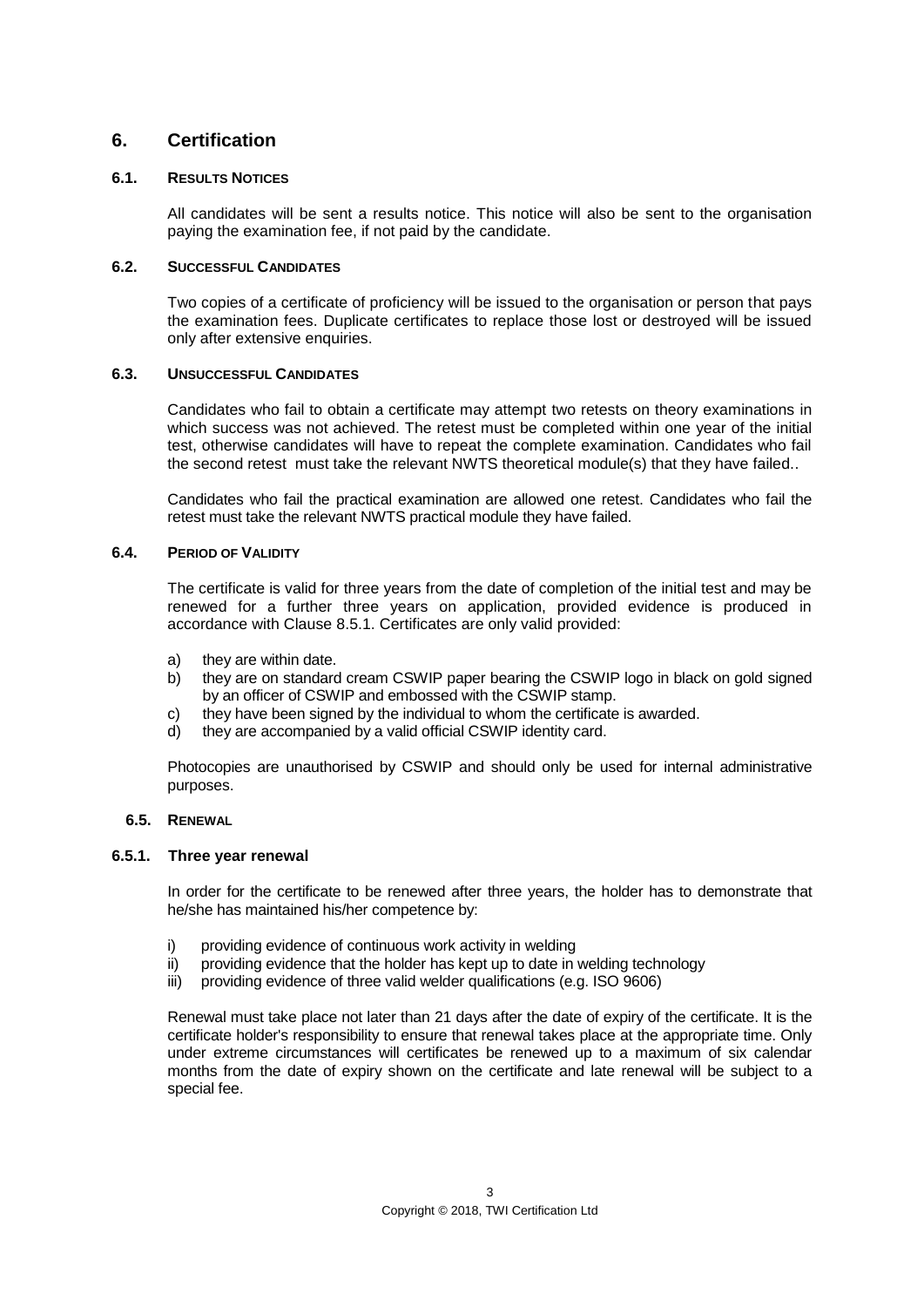## **6. Certification**

## **6.1. RESULTS NOTICES**

All candidates will be sent a results notice. This notice will also be sent to the organisation paying the examination fee, if not paid by the candidate.

## **6.2. SUCCESSFUL CANDIDATES**

Two copies of a certificate of proficiency will be issued to the organisation or person that pays the examination fees. Duplicate certificates to replace those lost or destroyed will be issued only after extensive enquiries.

## **6.3. UNSUCCESSFUL CANDIDATES**

Candidates who fail to obtain a certificate may attempt two retests on theory examinations in which success was not achieved. The retest must be completed within one year of the initial test, otherwise candidates will have to repeat the complete examination. Candidates who fail the second retest must take the relevant NWTS theoretical module(s) that they have failed..

Candidates who fail the practical examination are allowed one retest. Candidates who fail the retest must take the relevant NWTS practical module they have failed.

## **6.4. PERIOD OF VALIDITY**

The certificate is valid for three years from the date of completion of the initial test and may be renewed for a further three years on application, provided evidence is produced in accordance with Clause 8.5.1. Certificates are only valid provided:

- a) they are within date.
- b) they are on standard cream CSWIP paper bearing the CSWIP logo in black on gold signed by an officer of CSWIP and embossed with the CSWIP stamp.
- c) they have been signed by the individual to whom the certificate is awarded.
- d) they are accompanied by a valid official CSWIP identity card.

Photocopies are unauthorised by CSWIP and should only be used for internal administrative purposes.

#### **6.5. RENEWAL**

## **6.5.1. Three year renewal**

In order for the certificate to be renewed after three years, the holder has to demonstrate that he/she has maintained his/her competence by:

- i) providing evidence of continuous work activity in welding
- $ii)$  providing evidence that the holder has kept up to date in welding technology
- iii) providing evidence of three valid welder qualifications (e.g. ISO 9606)

Renewal must take place not later than 21 days after the date of expiry of the certificate. It is the certificate holder's responsibility to ensure that renewal takes place at the appropriate time. Only under extreme circumstances will certificates be renewed up to a maximum of six calendar months from the date of expiry shown on the certificate and late renewal will be subject to a special fee.